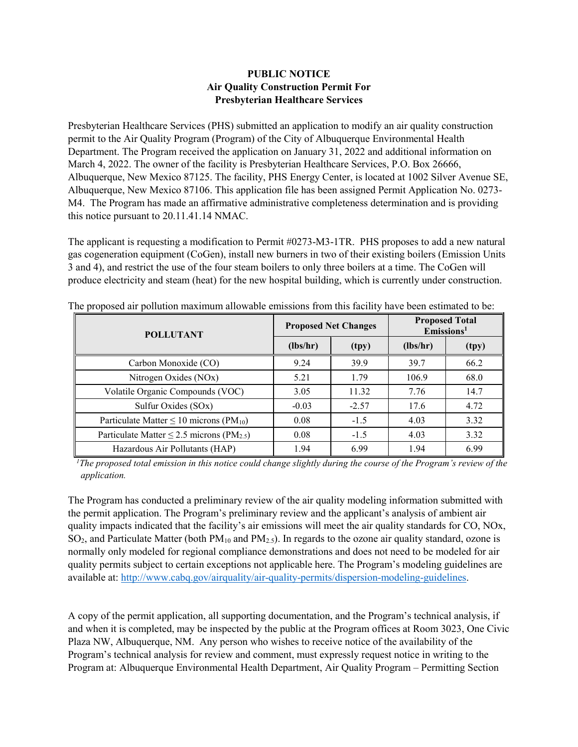## **PUBLIC NOTICE Air Quality Construction Permit For Presbyterian Healthcare Services**

Presbyterian Healthcare Services (PHS) submitted an application to modify an air quality construction permit to the Air Quality Program (Program) of the City of Albuquerque Environmental Health Department. The Program received the application on January 31, 2022 and additional information on March 4, 2022. The owner of the facility is Presbyterian Healthcare Services, P.O. Box 26666, Albuquerque, New Mexico 87125. The facility, PHS Energy Center, is located at 1002 Silver Avenue SE, Albuquerque, New Mexico 87106. This application file has been assigned Permit Application No. 0273- M4. The Program has made an affirmative administrative completeness determination and is providing this notice pursuant to 20.11.41.14 NMAC.

The applicant is requesting a modification to Permit #0273-M3-1TR. PHS proposes to add a new natural gas cogeneration equipment (CoGen), install new burners in two of their existing boilers (Emission Units 3 and 4), and restrict the use of the four steam boilers to only three boilers at a time. The CoGen will produce electricity and steam (heat) for the new hospital building, which is currently under construction.

| <b>POLLUTANT</b>                                           | <b>Proposed Net Changes</b> |         | <b>Proposed Total</b><br>$E$ missions <sup>1</sup> |       |
|------------------------------------------------------------|-----------------------------|---------|----------------------------------------------------|-------|
|                                                            | (lbs/hr)                    | (tpy)   | (lbs/hr)                                           | (tpy) |
| Carbon Monoxide (CO)                                       | 9.24                        | 39.9    | 39.7                                               | 66.2  |
| Nitrogen Oxides (NOx)                                      | 5.21                        | 1.79    | 106.9                                              | 68.0  |
| Volatile Organic Compounds (VOC)                           | 3.05                        | 11.32   | 7.76                                               | 14.7  |
| Sulfur Oxides (SOx)                                        | $-0.03$                     | $-2.57$ | 17.6                                               | 4.72  |
| Particulate Matter $\leq 10$ microns (PM <sub>10</sub> )   | 0.08                        | $-1.5$  | 4.03                                               | 3.32  |
| Particulate Matter $\leq$ 2.5 microns (PM <sub>2.5</sub> ) | 0.08                        | $-1.5$  | 4.03                                               | 3.32  |
| Hazardous Air Pollutants (HAP)                             | 1.94                        | 6.99    | 1.94                                               | 6.99  |

The proposed air pollution maximum allowable emissions from this facility have been estimated to be:

 ${}^{1}$ The proposed total emission in this notice could change slightly during the course of the Program's review of the *application.*

The Program has conducted a preliminary review of the air quality modeling information submitted with the permit application. The Program's preliminary review and the applicant's analysis of ambient air quality impacts indicated that the facility's air emissions will meet the air quality standards for CO, NOx,  $SO_2$ , and Particulate Matter (both  $PM_{10}$  and  $PM_{2.5}$ ). In regards to the ozone air quality standard, ozone is normally only modeled for regional compliance demonstrations and does not need to be modeled for air quality permits subject to certain exceptions not applicable here. The Program's modeling guidelines are available at: [http://www.cabq.gov/airquality/air-quality-permits/dispersion-modeling-guidelines.](http://www.cabq.gov/airquality/air-quality-permits/dispersion-modeling-guidelines)

A copy of the permit application, all supporting documentation, and the Program's technical analysis, if and when it is completed, may be inspected by the public at the Program offices at Room 3023, One Civic Plaza NW, Albuquerque, NM. Any person who wishes to receive notice of the availability of the Program's technical analysis for review and comment, must expressly request notice in writing to the Program at: Albuquerque Environmental Health Department, Air Quality Program – Permitting Section